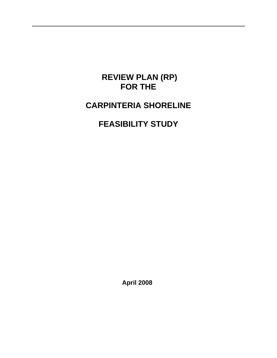# **REVIEW PLAN (RP) FOR THE**

# **CARPINTERIA SHORELINE**

# **FEASIBILITY STUDY**

**April 2008**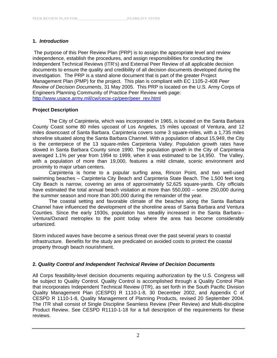## **1.** *Introduction*

The purpose of this Peer Review Plan (PRP) is to assign the appropriate level and review independence, establish the procedures, and assign responsibilities for conducting the Independent Technical Reviews (ITR's) and External Peer Review of all applicable decision documents to ensure the quality and credibility of all decision documents developed during the investigation. The PRP is a stand alone document that is part of the greater Project Management Plan (PMP) for the project. This plan is compliant with EC 1105-2-408 *Peer Review of Decision Documents*, 31 May 2005. This PRP is located on the U.S. Army Corps of Engineers Planning Community of Practice Peer Review web page: http://www.usace.army.mil/cw/cecw-cp/peer/peer\_rev.html

## **Project Description**

The City of Carpinteria, which was incorporated in 1965, is located on the Santa Barbara County Coast some 80 miles upcoast of Los Angeles, 15 miles upcoast of Ventura, and 12 miles downcoast of Santa Barbara. Carpinteria covers some 3 square-miles, with a 1,735 miles shoreline situated along the Santa Barbara Channel. With a population of about 15,949, the City is the centerpiece of the 13 square-miles Carpinteria Valley. Population growth rates have slowed in Santa Barbara County since 1990. The population growth in the City of Carpinteria averaged 1.1% per year from 1994 to 1999, when it was estimated to be 14,950. The Valley, with a population of more than 19,000, features a mild climate, scenic environment and proximity to major urban centers.

Carpinteria is home to a popular surfing area, Rincon Point, and two well-used swimming beaches – Carpinteria City Beach and Carpinteria State Beach. The 1,500 feet long City Beach is narrow, covering an area of approximately 52,625 square-yards. City officials have estimated the total annual beach visitation at more than 550,000 – some 250,000 during the summer season and more than 300,000 during the remainder of the year.

The coastal setting and favorable climate of the beaches along the Santa Barbara Channel have influenced the development of the shoreline areas of Santa Barbara and Ventura Counties. Since the early 1930s, population has steadily increased in the Santa Barbara-- Ventura/Oxnard metroplex to the point today where the area has become considerably urbanized.

Storm induced waves have become a serious threat over the past several years to coastal infrastructure. Benefits for the study are predicated on avoided costs to protect the coastal property through beach nourishment.

#### **2.** *Quality Control and Independent Technical Review of Decision Documents*

All Corps feasibility-level decision documents requiring authorization by the U.S. Congress will be subject to Quality Control. Quality Control is accomplished through a Quality Control Plan that incorporates Independent Technical Review (ITR), as set forth in the South Pacific Division Quality Management Plan (CESPD) R 1110-1-8, 30 December 2002, and Appendix C of CESPD R 1110-1-8, Quality Management of Planning Products, revised 20 September 2004. The ITR shall consist of Single Discipline Seamless Review (Peer Review) and Multi-discipline Product Review. See CESPD R1110-1-18 for a full description of the requirements for these reviews.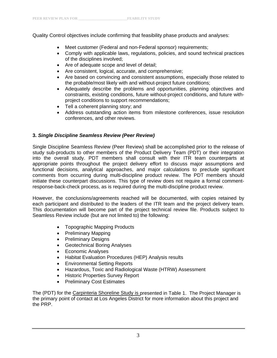Quality Control objectives include confirming that feasibility phase products and analyses:

- Meet customer (Federal and non-Federal sponsor) requirements;
- Comply with applicable laws, regulations, policies, and sound technical practices of the disciplines involved;
- Are of adequate scope and level of detail;
- Are consistent, logical, accurate, and comprehensive;
- Are based on convincing and consistent assumptions, especially those related to the probable/most likely with and without-project future conditions;
- Adequately describe the problems and opportunities, planning objectives and constraints, existing conditions, future without-project conditions, and future withproject conditions to support recommendations;
- Tell a coherent planning story; and
- Address outstanding action items from milestone conferences, issue resolution conferences, and other reviews.

## **3.** *Single Discipline Seamless Review (Peer Review)*

Single Discipline Seamless Review (Peer Review) shall be accomplished prior to the release of study sub-products to other members of the Product Delivery Team (PDT) or their integration into the overall study. PDT members shall consult with their ITR team counterparts at appropriate points throughout the project delivery effort to discuss major assumptions and functional decisions, analytical approaches, and major calculations to preclude significant comments from occurring during multi-discipline product review. The PDT members should initiate these counterpart discussions. This type of review does not require a formal commentresponse-back-check process, as is required during the multi-discipline product review.

However, the conclusions/agreements reached will be documented, with copies retained by each participant and distributed to the leaders of the ITR team and the project delivery team. This documentation will become part of the project technical review file. Products subject to Seamless Review include (but are not limited to) the following:

- Topographic Mapping Products
- Preliminary Mapping
- Preliminary Designs
- Geotechnical Boring Analyses
- Economic Analyses
- Habitat Evaluation Procedures (HEP) Analysis results
- Environmental Setting Reports
- Hazardous, Toxic and Radiological Waste (HTRW) Assessment
- Historic Properties Survey Report
- Preliminary Cost Estimates

The (PDT) for the Carpinteria Shoreline Study is presented in Table 1. The Project Manager is the primary point of contact at Los Angeles District for more information about this project and the PRP.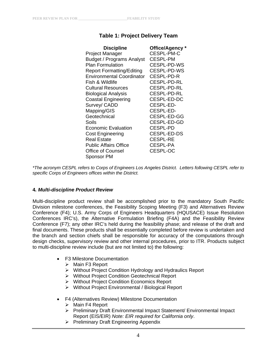# **Table 1: Project Delivery Team**

| <b>Discipline</b>                | Office/Agency *    |
|----------------------------------|--------------------|
| Project Manager                  | CESPL-PM-C         |
| <b>Budget / Programs Analyst</b> | CESPL-PM           |
| <b>Plan Formulation</b>          | CESPL-PD-WS        |
| <b>Report Formatting/Editing</b> | <b>CESPL-PD-WS</b> |
| <b>Environmental Coordinator</b> | CESPL-PD-R         |
| Fish & Wildlife                  | CESPL-PD-RL        |
| Cultural Resources               | CESPL-PD-RL        |
| <b>Biological Analysis</b>       | <b>CESPL-PD-RL</b> |
| <b>Coastal Engineering</b>       | CESPL-ED-DC        |
| Survey/ CADD                     | CESPL-ED-          |
| Mapping/GIS                      | CESPL-ED-          |
| Geotechnical                     | CESPL-ED-GG        |
| Soils                            | CESPL-ED-GD        |
| Economic Evaluation              | <b>CESPL-PD</b>    |
| <b>Cost Engineering</b>          | <b>CESPL-ED-DS</b> |
| <b>Real Estate</b>               | CESPL-RE           |
| <b>Public Affairs Office</b>     | CESPL-PA           |
| <b>Office of Counsel</b>         | <b>CESPL-OC</b>    |
| Sponsor PM                       |                    |

*\*The acronym CESPL refers to Corps of Engineers Los Angeles District. Letters following CESPL refer to specific Corps of Engineers offices within the District.* 

#### **4***. Multi-discipline Product Review*

Multi-discipline product review shall be accomplished prior to the mandatory South Pacific Division milestone conferences, the Feasibility Scoping Meeting (F3) and Alternatives Review Conference (F4); U.S. Army Corps of Engineers Headquarters (HQUSACE) Issue Resolution Conferences IRC's), the Alternative Formulation Briefing (F4A) and the Feasibility Review Conference (F7); any other IRC's held during the feasibility phase; and release of the draft and final documents. These products shall be essentially completed before review is undertaken and the branch and section chiefs shall be responsible for accuracy of the computations through design checks, supervisory review and other internal procedures, prior to ITR. Products subject to multi-discipline review include (but are not limited to) the following:

- F3 Milestone Documentation
	- $\triangleright$  Main F3 Report
	- ¾ Without Project Condition Hydrology and Hydraulics Report
	- ¾ Without Project Condition Geotechnical Report
	- ¾ Without Project Condition Economics Report
	- ¾ Without Project Environmental / Biological Report
- F4 (Alternatives Review) Milestone Documentation
	- ¾ Main F4 Report
	- ¾ Preliminary Draft Environmental Impact Statement/ Environmental Impact Report (EIS/EIR) *Note: EIR required for California only*.
	- ¾ Preliminary Draft Engineering Appendix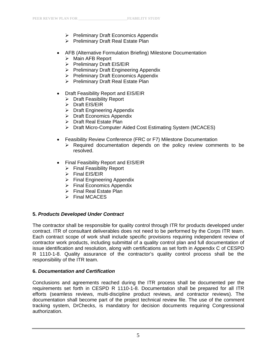- ¾ Preliminary Draft Economics Appendix
- ¾ Preliminary Draft Real Estate Plan
- AFB (Alternative Formulation Briefing) Milestone Documentation
	- $\triangleright$  Main AFB Report
	- ¾ Preliminary Draft EIS/EIR
	- ¾ Preliminary Draft Engineering Appendix
	- ¾ Preliminary Draft Economics Appendix
	- ¾ Preliminary Draft Real Estate Plan
- Draft Feasibility Report and EIS/EIR
	- $\triangleright$  Draft Feasibility Report
	- ¾ Draft EIS/EIR
	- $\triangleright$  Draft Engineering Appendix
	- $\triangleright$  Draft Economics Appendix
	- ¾ Draft Real Estate Plan
	- ¾ Draft Micro-Computer Aided Cost Estimating System (MCACES)
- Feasibility Review Conference (FRC or F7) Milestone Documentation
	- $\triangleright$  Required documentation depends on the policy review comments to be resolved.
- Final Feasibility Report and EIS/EIR
	- $\triangleright$  Final Feasibility Report
	- $\triangleright$  Final EIS/EIR
	- $\triangleright$  Final Engineering Appendix
	- $\triangleright$  Final Economics Appendix
	- $\triangleright$  Final Real Estate Plan
	- $\triangleright$  Final MCACES

# **5.** *Products Developed Under Contract*

The contractor shall be responsible for quality control through ITR for products developed under contract. ITR of consultant deliverables does not need to be performed by the Corps ITR team. Each contract scope of work shall include specific provisions requiring independent review of contractor work products, including submittal of a quality control plan and full documentation of issue identification and resolution, along with certifications as set forth in Appendix C of CESPD R 1110-1-8. Quality assurance of the contractor's quality control process shall be the responsibility of the ITR team.

# **6.** *Documentation and Certification*

Conclusions and agreements reached during the ITR process shall be documented per the requirements set forth in CESPD R 1110-1-8. Documentation shall be prepared for all ITR efforts (seamless reviews, multi-discipline product reviews, and contractor reviews). The documentation shall become part of the project technical review file. The use of the comment tracking system, DrChecks, is mandatory for decision documents requiring Congressional authorization.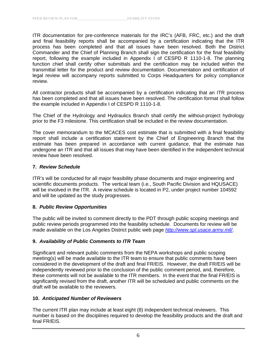ITR documentation for pre-conference materials for the IRC's (AFB, FRC, etc.) and the draft and final feasibility reports shall be accompanied by a certification indicating that the ITR process has been completed and that all issues have been resolved. Both the District Commander and the Chief of Planning Branch shall sign the certification for the final feasibility report, following the example included in Appendix I of CESPD R 1110-1-8. The planning function chief shall certify other submittals and the certification may be included within the transmittal letter for the product and review documentation. Documentation and certification of legal review will accompany reports submitted to Corps Headquarters for policy compliance review.

All contractor products shall be accompanied by a certification indicating that an ITR process has been completed and that all issues have been resolved. The certification format shall follow the example included in Appendix I of CESPD R 1110-1-8.

The Chief of the Hydrology and Hydraulics Branch shall certify the without-project hydrology prior to the F3 milestone. This certification shall be included in the review documentation.

The cover memorandum to the MCACES cost estimate that is submitted with a final feasibility report shall include a certification statement by the Chief of Engineering Branch that the estimate has been prepared in accordance with current guidance, that the estimate has undergone an ITR and that all issues that may have been identified in the independent technical review have been resolved.

#### **7.** *Review Schedule*

ITR's will be conducted for all major feasibility phase documents and major engineering and scientific documents products. The vertical team (i.e., South Pacific Division and HQUSACE) will be involved in the ITR. A review schedule is located in P2, under project number 104592 and will be updated as the study progresses.

#### **8.** *Public Review Opportunities*

The public will be invited to comment directly to the PDT through public scoping meetings and public review periods programmed into the feasibility schedule. Documents for review will be made available on the Los Angeles District public web page *http://www.spl.usace.army.mil/*.

#### **9.** *Availability of Public Comments to ITR Team*

Significant and relevant public comments from the NEPA workshops and public scoping meeting(s) will be made available to the ITR team to ensure that public comments have been considered in the development of the draft and final FR/EIS. However, the draft FR/EIS will be independently reviewed prior to the conclusion of the public comment period, and, therefore, these comments will not be available to the ITR members. In the event that the final FR/EIS is significantly revised from the draft, another ITR will be scheduled and public comments on the draft will be available to the reviewers.

#### **10.** *Anticipated Number of Reviewers*

The current ITR plan may include at least eight (8) independent technical reviewers. This number is based on the disciplines required to develop the feasibility products and the draft and final FR/EIS.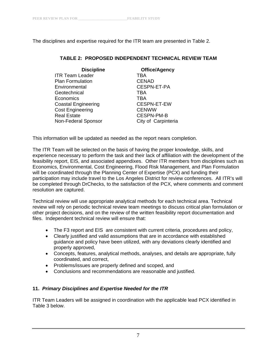The disciplines and expertise required for the ITR team are presented in Table 2.

### **TABLE 2: PROPOSED INDEPENDENT TECHNICAL REVIEW TEAM**

| <b>Discipline</b>          | <b>Office/Agency</b> |
|----------------------------|----------------------|
| <b>ITR Team Leader</b>     | TBA                  |
| <b>Plan Formulation</b>    | <b>CENAD</b>         |
| Environmental              | <b>CESPN-ET-PA</b>   |
| Geotechnical               | TBA                  |
| Economics                  | TBA                  |
| <b>Coastal Engineering</b> | CESPN-ET-EW          |
| <b>Cost Engineering</b>    | <b>CENWW</b>         |
| <b>Real Estate</b>         | <b>CESPN-PM-B</b>    |
| Non-Federal Sponsor        | City of Carpinteria  |

This information will be updated as needed as the report nears completion.

The ITR Team will be selected on the basis of having the proper knowledge, skills, and experience necessary to perform the task and their lack of affiliation with the development of the feasibility report, EIS, and associated appendixes. Other ITR members from disciplines such as Economics, Environmental, Cost Engineering, Flood Risk Management, and Plan Formulation will be coordinated through the Planning Center of Expertise (PCX) and funding their participation may include travel to the Los Angeles District for review conferences. All ITR's will be completed through DrChecks, to the satisfaction of the PCX, where comments and comment resolution are captured.

Technical review will use appropriate analytical methods for each technical area. Technical review will rely on periodic technical review team meetings to discuss critical plan formulation or other project decisions, and on the review of the written feasibility report documentation and files. Independent technical review will ensure that:

- The F3 report and EIS are consistent with current criteria, procedures and policy,
- Clearly justified and valid assumptions that are in accordance with established guidance and policy have been utilized, with any deviations clearly identified and properly approved,
- Concepts, features, analytical methods, analyses, and details are appropriate, fully coordinated, and correct,
- Problems/issues are properly defined and scoped, and
- Conclusions and recommendations are reasonable and justified.

# **11.** *Primary Disciplines and Expertise Needed for the ITR*

ITR Team Leaders will be assigned in coordination with the applicable lead PCX identified in Table 3 below.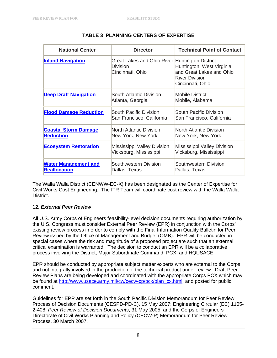| <b>National Center</b>                             | <b>Director</b>                                                                       | <b>Technical Point of Contact</b>                                                                  |
|----------------------------------------------------|---------------------------------------------------------------------------------------|----------------------------------------------------------------------------------------------------|
| <b>Inland Navigation</b>                           | Great Lakes and Ohio River Huntington District<br><b>Division</b><br>Cincinnati, Ohio | Huntington, West Virginia<br>and Great Lakes and Ohio<br><b>River Division</b><br>Cincinnati, Ohio |
| <b>Deep Draft Navigation</b>                       | South Atlantic Division<br>Atlanta, Georgia                                           | <b>Mobile District</b><br>Mobile, Alabama                                                          |
| <b>Flood Damage Reduction</b>                      | South Pacific Division<br>San Francisco, California                                   | South Pacific Division<br>San Francisco, California                                                |
| <b>Coastal Storm Damage</b><br><b>Reduction</b>    | North Atlantic Division<br>New York, New York                                         | <b>North Atlantic Division</b><br>New York, New York                                               |
| <b>Ecosystem Restoration</b>                       | Mississippi Valley Division<br>Vicksburg, Mississippi                                 | Mississippi Valley Division<br>Vicksburg, Mississippi                                              |
| <b>Water Management and</b><br><b>Reallocation</b> | Southwestern Division<br>Dallas, Texas                                                | Southwestern Division<br>Dallas, Texas                                                             |

### **TABLE 3 PLANNING CENTERS OF EXPERTISE**

The Walla Walla District (CENWW-EC-X) has been designated as the Center of Expertise for Civil Works Cost Engineering. The ITR Team will coordinate cost review with the Walla Walla District.

#### **12.** *External Peer Review*

All U.S. Army Corps of Engineers feasibility-level decision documents requiring authorization by the U.S. Congress must consider External Peer Review (EPR) in conjunction with the Corps' existing review process in order to comply with the Final Information Quality Bulletin for Peer Review issued by the Office of Management and Budget (OMB). EPR will be conducted in special cases where the risk and magnitude of a proposed project are such that an external critical examination is warranted. The decision to conduct an EPR will be a collaborative process involving the District, Major Subordinate Command, PCX, and HQUSACE.

EPR should be conducted by appropriate subject matter experts who are external to the Corps and not integrally involved in the production of the technical product under review. Draft Peer Review Plans are being developed and coordinated with the appropriate Corps PCX which may be found at http://www.usace.army.mil/cw/cecw-cp/pcx/plan\_cx.html, and posted for public comment.

Guidelines for EPR are set forth in the South Pacific Division Memorandum for Peer Review Process of Decision Documents (CESPD-PD-C), 15 May 2007; Engineering Circular (EC) 1105- 2-408, *Peer Review of Decision Documents*, 31 May 2005; and the Corps of Engineers Directorate of Civil Works Planning and Policy (CECW-P) Memorandum for Peer Review Process, 30 March 2007.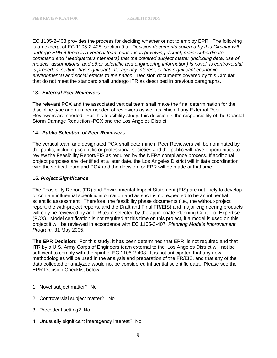EC 1105-2-408 provides the process for deciding whether or not to employ EPR. The following is an excerpt of EC 1105-2-408, section 9.a: *Decision documents covered by this Circular will undergo EPR if there is a vertical team consensus (involving district, major subordinate command and Headquarters members) that the covered subject matter (including data, use of models, assumptions, and other scientific and engineering information) is novel, is controversial, is precedent setting, has significant interagency interest, or has significant economic, environmental and social effects to the nation*. Decision documents covered by this Circular that do not meet the standard shall undergo ITR as described in previous paragraphs.

#### **13.** *External Peer Reviewers*

The relevant PCX and the associated vertical team shall make the final determination for the discipline type and number needed of reviewers as well as which if any External Peer Reviewers are needed. For this feasibility study, this decision is the responsibility of the Coastal Storm Damage Reduction -PCX and the Los Angeles District.

#### **14.** *Public Selection of Peer Reviewers*

The vertical team and designated PCX shall determine if Peer Reviewers will be nominated by the public, including scientific or professional societies and the public will have opportunities to review the Feasibility Report/EIS as required by the NEPA compliance process. If additional project purposes are identified at a later date, the Los Angeles District will initiate coordination with the vertical team and PCX and the decision for EPR will be made at that time.

#### **15.** *Project Significance*

The Feasibility Report (FR) and Environmental Impact Statement (EIS) are not likely to develop or contain influential scientific information and as such is not expected to be an influential scientific assessment. Therefore, the feasibility phase documents (i.e., the without-project report, the with-project reports, and the Draft and Final FR/EIS) and major engineering products will only be reviewed by an ITR team selected by the appropriate Planning Center of Expertise (PCX). Model certification is not required at this time on this project, if a model is used on this project it will be reviewed in accordance with EC 1105-2-407, *Planning Models Improvement Program,* 31 May 2005.

**The EPR Decision:** For this study, it has been determined that EPR is not required and that ITR by a U.S. Army Corps of Engineers team external to the Los Angeles District will not be sufficient to comply with the spirit of EC 1105-2-408. It is not anticipated that any new methodologies will be used in the analysis and preparation of the FR/EIS, and that any of the data collected or analyzed would not be considered influential scientific data. Please see the EPR Decision Checklist below:

- 1. Novel subject matter? No
- 2. Controversial subject matter? No
- 3. Precedent setting? No
- 4. Unusually significant interagency interest? No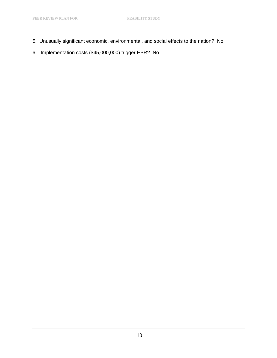- 5. Unusually significant economic, environmental, and social effects to the nation? No
- 6. Implementation costs (\$45,000,000) trigger EPR? No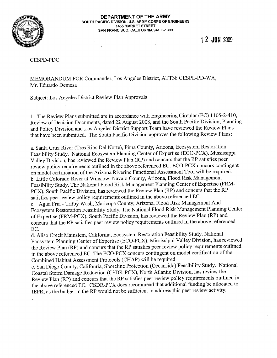

#### DEPARTMENT OF THE ARMY SOUTH PACIFIC DIVISION, U.S. ARMY CORPS OF ENGINEERS **1455 MARKET STREET** SAN FRANCISCO, CALIFORNIA 94103-1399

1 2 JUN 2009

**CESPD-PDC** 

MEMORANDUM FOR Commander, Los Angeles District, ATTN: CESPL-PD-WA, Mr. Eduardo Demesa

Subject: Los Angeles District Review Plan Approvals

1. The Review Plans submitted are in accordance with Engineering Circular (EC) 1105-2-410, Review of Decision Documents, dated 22 August 2008, and the South Pacific Division, Planning and Policy Division and Los Angeles District Support Team have reviewed the Review Plans that have been submitted. The South Pacific Division approves the following Review Plans:

a. Santa Cruz River (Tres Rios Del Norte), Pima County, Arizona, Ecosystem Restoration Feasibility Study. National Ecosystem Planning Center of Expertise (ECO-PCX), Mississippi Valley Division, has reviewed the Review Plan (RP) and concurs that the RP satisfies peer review policy requirements outlined in the above referenced EC. ECO-PCX concurs contingent on model certification of the Arizona Riverine Functional Assessment Tool will be required. b. Little Colorado River at Winslow, Navajo County, Arizona, Flood Risk Management Feasibility Study. The National Flood Risk Management Planning Center of Expertise (FRM-PCX), South Pacific Division, has reviewed the Review Plan (RP) and concurs that the RP satisfies peer review policy requirements outlined in the above referenced EC.

c. Agua Fria - Trilby Wash, Maricopa County, Arizona, Flood Risk Management And Ecosystem Restoration Feasibility Study. The National Flood Risk Management Planning Center of Expertise (FRM-PCX), South Pacific Division, has reviewed the Review Plan (RP) and concurs that the RP satisfies peer review policy requirements outlined in the above referenced EC.

d. Aliso Creek Mainstem, California, Ecosystem Restoration Feasibility Study. National Ecosystem Planning Center of Expertise (ECO-PCX), Mississippi Valley Division, has reviewed the Review Plan (RP) and concurs that the RP satisfies peer review policy requirements outlined in the above referenced EC. The ECO-PCX concurs contingent on model certification of the Combined Habitat Assessment Protocols (CHAP) will be required.

e. San Diego County, Califonria, Shoreline Protection (Oceanside) Feasibility Study. National Coastal Storm Damage Reduction (CSDR-PCX), North Atlantic Division, has review the Review Plan (RP) and concurs that the RP satisfies peer review policy requirements outlined in the above referenced EC. CSDR-PCX does recommend that additional funding be allocated to IEPR, as the budget in the RP would not be sufficient to address this peer review activity.